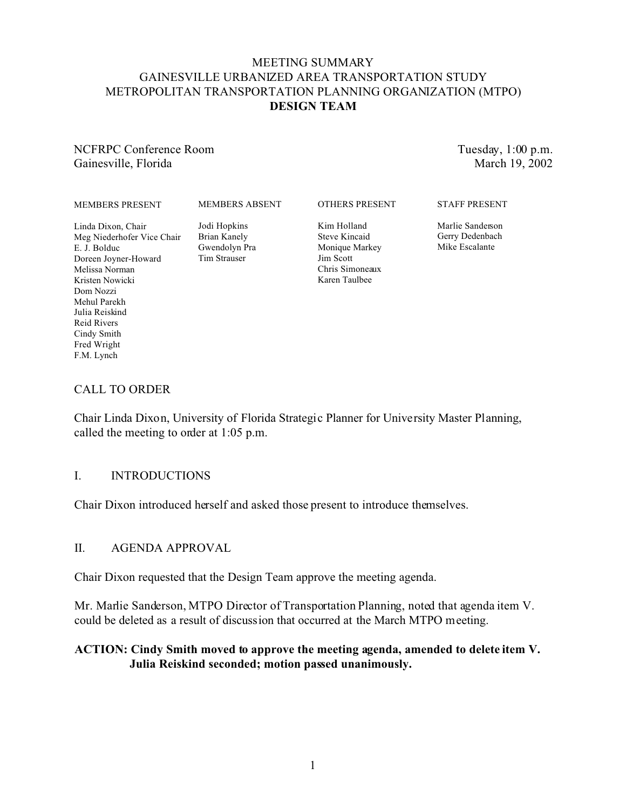# MEETING SUMMARY GAINESVILLE URBANIZED AREA TRANSPORTATION STUDY METROPOLITAN TRANSPORTATION PLANNING ORGANIZATION (MTPO) **DESIGN TEAM**

NCFRPC Conference Room Gainesville, Florida

Tuesday, 1:00 p.m. March 19, 2002

#### MEMBERS PRESENT

MEMBERS ABSENT

OTHERS PRESENT

Linda Dixon, Chair Meg Niederhofer Vice Chair E. J. Bolduc Doreen Joyner-Howard Melissa Norman Kristen Nowicki Dom Nozzi Mehul Parekh Julia Reiskind Reid Rivers Cindy Smith Fred Wright

Jodi Hopkins Brian Kanely Gwendolyn Pra Tim Strauser

Kim Holland Steve Kincaid Monique Markey Jim Scott Chris Simoneaux Karen Taulbee

STAFF PRESENT

Marlie Sanderson Gerry Dedenbach Mike Escalante

### CALL TO ORDER

F.M. Lynch

Chair Linda Dixon, University of Florida Strategic Planner for University Master Planning, called the meeting to order at 1:05 p.m.

### I. INTRODUCTIONS

Chair Dixon introduced herself and asked those present to introduce themselves.

### II. AGENDA APPROVAL

Chair Dixon requested that the Design Team approve the meeting agenda.

Mr. Marlie Sanderson, MTPO Director of Transportation Planning, noted that agenda item V. could be deleted as a result of discussion that occurred at the March MTPO meeting.

# **ACTION: Cindy Smith moved to approve the meeting agenda, amended to delete item V. Julia Reiskind seconded; motion passed unanimously.**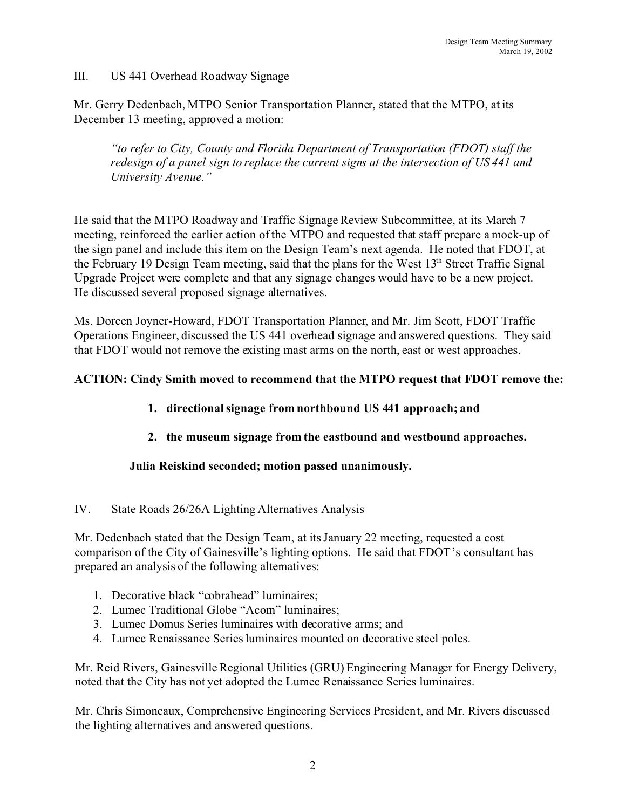# III. US 441 Overhead Roadway Signage

Mr. Gerry Dedenbach, MTPO Senior Transportation Planner, stated that the MTPO, at its December 13 meeting, approved a motion:

*"to refer to City, County and Florida Department of Transportation (FDOT) staff the redesign of a panel sign to replace the current signs at the intersection of US 441 and University Avenue."*

He said that the MTPO Roadway and Traffic Signage Review Subcommittee, at its March 7 meeting, reinforced the earlier action of the MTPO and requested that staff prepare a mock-up of the sign panel and include this item on the Design Team's next agenda. He noted that FDOT, at the February 19 Design Team meeting, said that the plans for the West 13<sup>th</sup> Street Traffic Signal Upgrade Project were complete and that any signage changes would have to be a new project. He discussed several proposed signage alternatives.

Ms. Doreen Joyner-Howard, FDOT Transportation Planner, and Mr. Jim Scott, FDOT Traffic Operations Engineer, discussed the US 441 overhead signage and answered questions. They said that FDOT would not remove the existing mast arms on the north, east or west approaches.

# **ACTION: Cindy Smith moved to recommend that the MTPO request that FDOT remove the:**

# **1. directional signage from northbound US 441 approach; and**

# **2. the museum signage from the eastbound and westbound approaches.**

# **Julia Reiskind seconded; motion passed unanimously.**

# IV. State Roads 26/26A Lighting Alternatives Analysis

Mr. Dedenbach stated that the Design Team, at its January 22 meeting, requested a cost comparison of the City of Gainesville's lighting options. He said that FDOT's consultant has prepared an analysis of the following alternatives:

- 1. Decorative black "cobrahead" luminaires;
- 2. Lumec Traditional Globe "Acom" luminaires;
- 3. Lumec Domus Series luminaires with decorative arms; and
- 4. Lumec Renaissance Series luminaires mounted on decorative steel poles.

Mr. Reid Rivers, Gainesville Regional Utilities (GRU) Engineering Manager for Energy Delivery, noted that the City has not yet adopted the Lumec Renaissance Series luminaires.

Mr. Chris Simoneaux, Comprehensive Engineering Services President, and Mr. Rivers discussed the lighting alternatives and answered questions.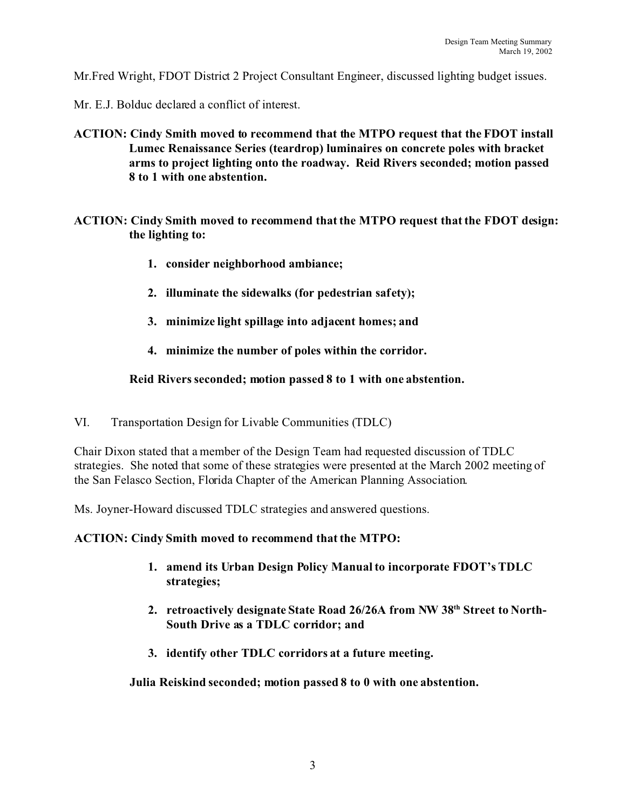Mr.Fred Wright, FDOT District 2 Project Consultant Engineer, discussed lighting budget issues.

Mr. E.J. Bolduc declared a conflict of interest.

- **ACTION: Cindy Smith moved to recommend that the MTPO request that the FDOT install Lumec Renaissance Series (teardrop) luminaires on concrete poles with bracket arms to project lighting onto the roadway. Reid Rivers seconded; motion passed 8 to 1 with one abstention.**
- **ACTION: Cindy Smith moved to recommend that the MTPO request that the FDOT design: the lighting to:** 
	- **1. consider neighborhood ambiance;**
	- **2. illuminate the sidewalks (for pedestrian safety);**
	- **3. minimize light spillage into adjacent homes; and**
	- **4. minimize the number of poles within the corridor.**

### **Reid Rivers seconded; motion passed 8 to 1 with one abstention.**

VI. Transportation Design for Livable Communities (TDLC)

Chair Dixon stated that a member of the Design Team had requested discussion of TDLC strategies. She noted that some of these strategies were presented at the March 2002 meeting of the San Felasco Section, Florida Chapter of the American Planning Association.

Ms. Joyner-Howard discussed TDLC strategies and answered questions.

### **ACTION: Cindy Smith moved to recommend that the MTPO:**

- **1. amend its Urban Design Policy Manual to incorporate FDOT's TDLC strategies;**
- **2. retroactively designate State Road 26/26A from NW 38th Street to North-South Drive as a TDLC corridor; and**
- **3. identify other TDLC corridors at a future meeting.**

**Julia Reiskind seconded; motion passed 8 to 0 with one abstention.**